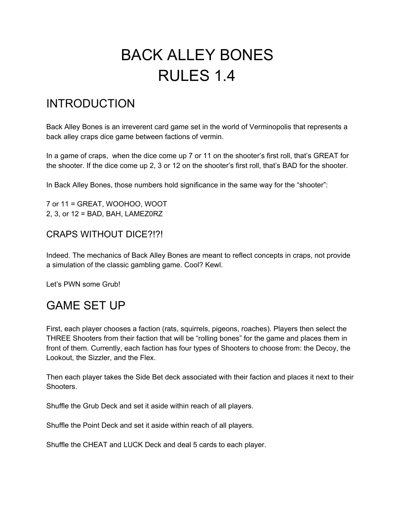# BACK ALLEY BONES RULES 1.4

## INTRODUCTION

Back Alley Bones is an irreverent card game set in the world of Verminopolis that represents a back alley craps dice game between factions of vermin.

In a game of craps, when the dice come up 7 or 11 on the shooter's first roll, that's GREAT for the shooter. If the dice come up 2, 3 or 12 on the shooter's first roll, that's BAD for the shooter.

In Back Alley Bones, those numbers hold significance in the same way for the "shooter":

7 or 11 = GREAT, WOOHOO, WOOT 2, 3, or 12 = BAD, BAH, LAMEZ0RZ

## CRAPS WITHOUT DICE?!?!

Indeed. The mechanics of Back Alley Bones are meant to reflect concepts in craps, not provide a simulation of the classic gambling game. Cool? Kewl.

Let's PWN some Grub!

## GAME SET UP

First, each player chooses a faction (rats, squirrels, pigeons, roaches). Players then select the THREE Shooters from their faction that will be "rolling bones" for the game and places them in front of them. Currently, each faction has four types of Shooters to choose from: the Decoy, the Lookout, the Sizzler, and the Flex.

Then each player takes the Side Bet deck associated with their faction and places it next to their Shooters.

Shuffle the Grub Deck and set it aside within reach of all players.

Shuffle the Point Deck and set it aside within reach of all players.

Shuffle the CHEAT and LUCK Deck and deal 5 cards to each player.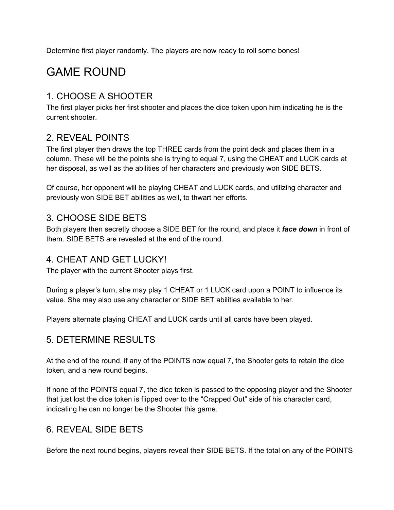Determine first player randomly. The players are now ready to roll some bones!

## GAME ROUND

## 1. CHOOSE A SHOOTER

The first player picks her first shooter and places the dice token upon him indicating he is the current shooter.

## 2. REVEAL POINTS

The first player then draws the top THREE cards from the point deck and places them in a column. These will be the points she is trying to equal 7, using the CHEAT and LUCK cards at her disposal, as well as the abilities of her characters and previously won SIDE BETS.

Of course, her opponent will be playing CHEAT and LUCK cards, and utilizing character and previously won SIDE BET abilities as well, to thwart her efforts.

## 3. CHOOSE SIDE BETS

Both players then secretly choose a SIDE BET for the round, and place it *face down* in front of them. SIDE BETS are revealed at the end of the round.

## 4. CHEAT AND GET LUCKY!

The player with the current Shooter plays first.

During a player's turn, she may play 1 CHEAT or 1 LUCK card upon a POINT to influence its value. She may also use any character or SIDE BET abilities available to her.

Players alternate playing CHEAT and LUCK cards until all cards have been played.

## 5. DETERMINE RESULTS

At the end of the round, if any of the POINTS now equal 7, the Shooter gets to retain the dice token, and a new round begins.

If none of the POINTS equal 7, the dice token is passed to the opposing player and the Shooter that just lost the dice token is flipped over to the "Crapped Out" side of his character card, indicating he can no longer be the Shooter this game.

## 6. REVEAL SIDE BETS

Before the next round begins, players reveal their SIDE BETS. If the total on any of the POINTS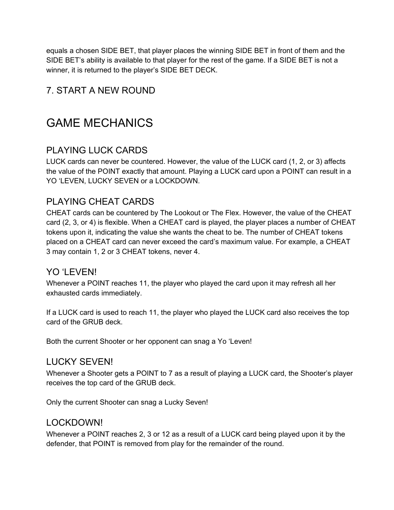equals a chosen SIDE BET, that player places the winning SIDE BET in front of them and the SIDE BET's ability is available to that player for the rest of the game. If a SIDE BET is not a winner, it is returned to the player's SIDE BET DECK.

## 7. START A NEW ROUND

## GAME MECHANICS

### PLAYING LUCK CARDS

LUCK cards can never be countered. However, the value of the LUCK card (1, 2, or 3) affects the value of the POINT exactly that amount. Playing a LUCK card upon a POINT can result in a YO 'LEVEN, LUCKY SEVEN or a LOCKDOWN.

### PLAYING CHEAT CARDS

CHEAT cards can be countered by The Lookout or The Flex. However, the value of the CHEAT card (2, 3, or 4) is flexible. When a CHEAT card is played, the player places a number of CHEAT tokens upon it, indicating the value she wants the cheat to be. The number of CHEAT tokens placed on a CHEAT card can never exceed the card's maximum value. For example, a CHEAT 3 may contain 1, 2 or 3 CHEAT tokens, never 4.

### YO 'LEVEN!

Whenever a POINT reaches 11, the player who played the card upon it may refresh all her exhausted cards immediately.

If a LUCK card is used to reach 11, the player who played the LUCK card also receives the top card of the GRUB deck.

Both the current Shooter or her opponent can snag a Yo 'Leven!

### LUCKY SEVEN!

Whenever a Shooter gets a POINT to 7 as a result of playing a LUCK card, the Shooter's player receives the top card of the GRUB deck.

Only the current Shooter can snag a Lucky Seven!

#### LOCKDOWN!

Whenever a POINT reaches 2, 3 or 12 as a result of a LUCK card being played upon it by the defender, that POINT is removed from play for the remainder of the round.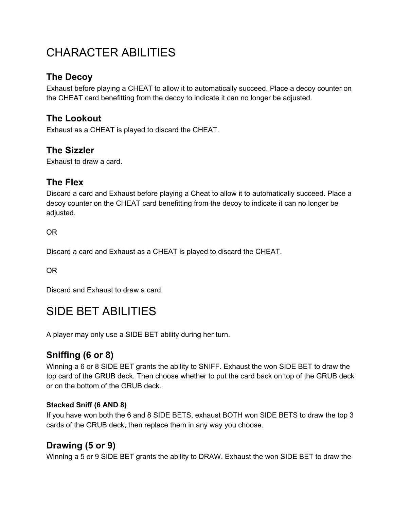## CHARACTER ABILITIES

## **The Decoy**

Exhaust before playing a CHEAT to allow it to automatically succeed. Place a decoy counter on the CHEAT card benefitting from the decoy to indicate it can no longer be adjusted.

## **The Lookout**

Exhaust as a CHEAT is played to discard the CHEAT.

### **The Sizzler**

Exhaust to draw a card.

### **The Flex**

Discard a card and Exhaust before playing a Cheat to allow it to automatically succeed. Place a decoy counter on the CHEAT card benefitting from the decoy to indicate it can no longer be adjusted.

OR

Discard a card and Exhaust as a CHEAT is played to discard the CHEAT.

OR

Discard and Exhaust to draw a card.

## SIDE BET ABILITIES

A player may only use a SIDE BET ability during her turn.

## **Sniffing (6 or 8)**

Winning a 6 or 8 SIDE BET grants the ability to SNIFF. Exhaust the won SIDE BET to draw the top card of the GRUB deck. Then choose whether to put the card back on top of the GRUB deck or on the bottom of the GRUB deck.

#### **Stacked Sniff (6 AND 8)**

If you have won both the 6 and 8 SIDE BETS, exhaust BOTH won SIDE BETS to draw the top 3 cards of the GRUB deck, then replace them in any way you choose.

## **Drawing (5 or 9)**

Winning a 5 or 9 SIDE BET grants the ability to DRAW. Exhaust the won SIDE BET to draw the